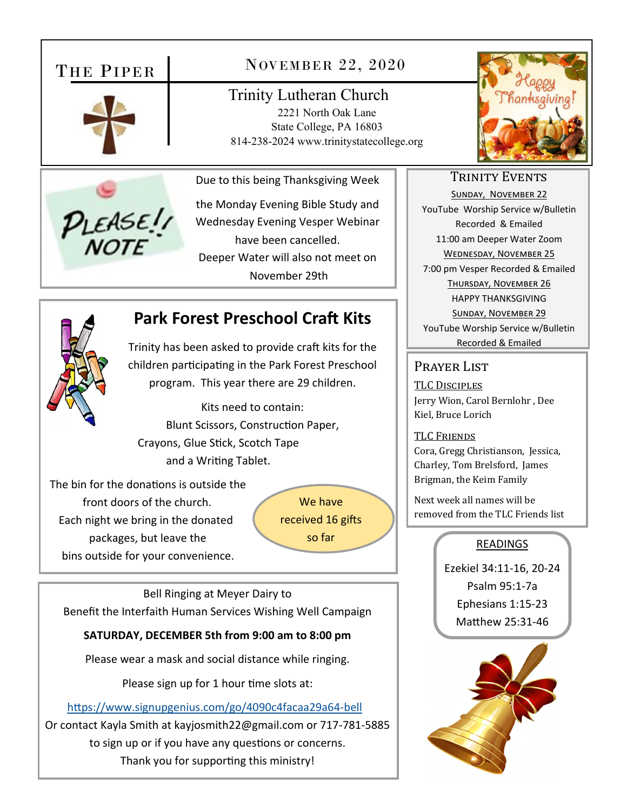# THE PIPER





# NOVEMBER 22, 2020

Trinity Lutheran Church 2221 North Oak Lane State College, PA 16803 814-238-2024 www.trinitystatecollege.org

Due to this being Thanksgiving Week

the Monday Evening Bible Study and Wednesday Evening Vesper Webinar have been cancelled. Deeper Water will also not meet on November 29th

# **Park Forest Preschool Craft Kits**

Trinity has been asked to provide craft kits for the children participating in the Park Forest Preschool program. This year there are 29 children.

Kits need to contain: Blunt Scissors, Construction Paper, Crayons, Glue Stick, Scotch Tape and a Writing Tablet.

The bin for the donations is outside the front doors of the church. Each night we bring in the donated packages, but leave the bins outside for your convenience.

We have received 16 gifts so far

Bell Ringing at Meyer Dairy to Benefit the Interfaith Human Services Wishing Well Campaign

### **SATURDAY, DECEMBER 5th from 9:00 am to 8:00 pm**

Please wear a mask and social distance while ringing.

Please sign up for 1 hour time slots at:

https://www.signupgenius.com/go/4090c4facaa29a64-bell Or contact Kayla Smith at kayjosmith22@gmail.com or 717‐781‐5885 to sign up or if you have any questions or concerns. Thank you for supporting this ministry!



## TRINITY EVENTS

SUNDAY, NOVEMBER 22 YouTube Worship Service w/Bulletin Recorded & Emailed 11:00 am Deeper Water Zoom WEDNESDAY, NOVEMBER 25 7:00 pm Vesper Recorded & Emailed THURSDAY, NOVEMBER 26 HAPPY THANKSGIVING SUNDAY, NOVEMBER 29 YouTube Worship Service w/Bulletin

Recorded & Emailed

## PRAYER LIST

TLC DISCIPLES Jerry Wion, Carol Bernlohr , Dee Kiel, Bruce Lorich

TLC FRIENDS Cora, Gregg Christianson, Jessica, Charley, Tom Brelsford, James Brigman, the Keim Family

Next week all names will be removed from the TLC Friends list

## **READINGS**

Ezekiel 34:11‐16, 20‐24 Psalm 95:1‐7a Ephesians 1:15‐23 Matthew 25:31-46

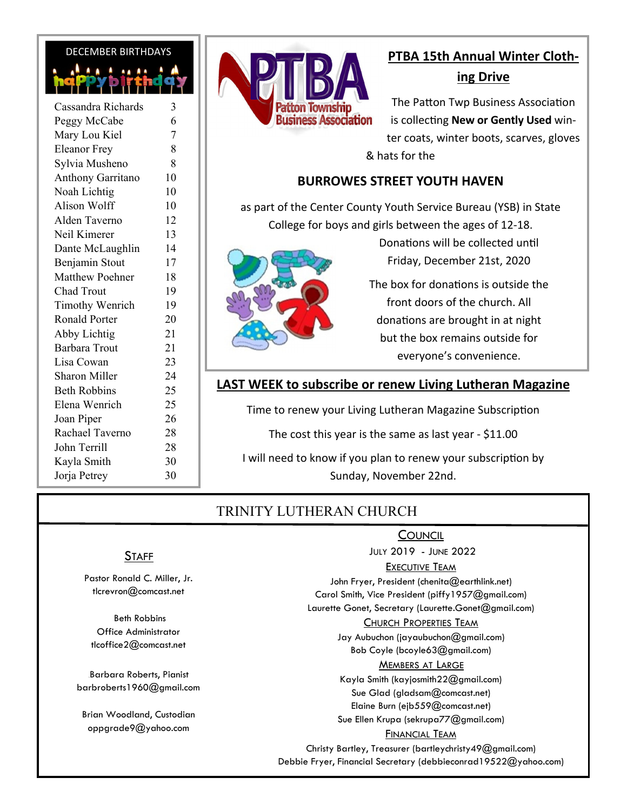#### DECEMBER BIRTHDAYS

| Cassandra Richards     | 3  |
|------------------------|----|
| Peggy McCabe           | 6  |
| Mary Lou Kiel          | 7  |
| <b>Eleanor Frey</b>    | 8  |
| Sylvia Musheno         | 8  |
| Anthony Garritano      | 10 |
| Noah Lichtig           | 10 |
| <b>Alison Wolff</b>    | 10 |
| Alden Taverno          | 12 |
| Neil Kimerer           | 13 |
| Dante McLaughlin       | 14 |
| Benjamin Stout         | 17 |
| <b>Matthew Poehner</b> | 18 |
| Chad Trout             | 19 |
| <b>Timothy Wenrich</b> | 19 |
| <b>Ronald Porter</b>   | 20 |
| Abby Lichtig           | 21 |
| <b>Barbara Trout</b>   | 21 |
| Lisa Cowan             | 23 |
| Sharon Miller          | 24 |
| <b>Beth Robbins</b>    | 25 |
| Elena Wenrich          | 25 |
| Joan Piper             | 26 |
| Rachael Taverno        | 28 |
| John Terrill           | 28 |
| Kayla Smith            | 30 |
| Jorja Petrey           | 30 |
|                        |    |



# **PTBA 15th Annual Winter Clothing Drive**

The Patton Twp Business Association is collecting **New or Gently Used** winter coats, winter boots, scarves, gloves & hats for the

### **BURROWES STREET YOUTH HAVEN**

as part of the Center County Youth Service Bureau (YSB) in State College for boys and girls between the ages of 12‐18.

> Donations will be collected until Friday, December 21st, 2020

The box for donations is outside the front doors of the church. All donations are brought in at night but the box remains outside for everyone's convenience.

## **LAST WEEK to subscribe or renew Living Lutheran Magazine**

Time to renew your Living Lutheran Magazine Subscription

The cost this year is the same as last year - \$11.00

I will need to know if you plan to renew your subscription by Sunday, November 22nd.

# TRINITY LUTHERAN CHURCH

### **COUNCIL**

JULY 2019 - JUNE 2022

#### EXECUTIVE TEAM

John Fryer, President (chenita@earthlink.net) Carol Smith, Vice President (piffy1957@gmail.com)

Laurette Gonet, Secretary (Laurette.Gonet@gmail.com)

#### CHURCH PROPERTIES TEAM

Jay Aubuchon (jayaubuchon@gmail.com) Bob Coyle (bcoyle63@gmail.com)

#### MEMBERS AT LARGE

Kayla Smith (kayjosmith22@gmail.com) Sue Glad (gladsam@comcast.net) Elaine Burn (ejb559@comcast.net) Sue Ellen Krupa (sekrupa77@gmail.com)

#### FINANCIAL TEAM

Christy Bartley, Treasurer (bartleychristy49@gmail.com) Debbie Fryer, Financial Secretary (debbieconrad19522@yahoo.com)

### **STAFF**

Pastor Ronald C. Miller, Jr. tlcrevron@comcast.net

 Beth Robbins Office Administrator tlcoffice2@comcast.net

Barbara Roberts, Pianist barbroberts1960@gmail.com

Brian Woodland, Custodian oppgrade9@yahoo.com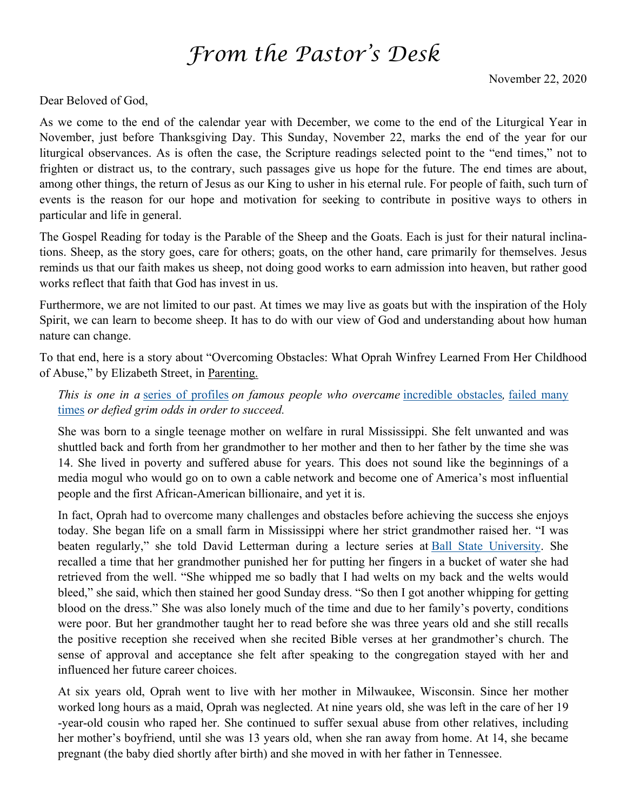# *From the Pastor's Desk*

Dear Beloved of God,

As we come to the end of the calendar year with December, we come to the end of the Liturgical Year in November, just before Thanksgiving Day. This Sunday, November 22, marks the end of the year for our liturgical observances. As is often the case, the Scripture readings selected point to the "end times," not to frighten or distract us, to the contrary, such passages give us hope for the future. The end times are about, among other things, the return of Jesus as our King to usher in his eternal rule. For people of faith, such turn of events is the reason for our hope and motivation for seeking to contribute in positive ways to others in particular and life in general.

The Gospel Reading for today is the Parable of the Sheep and the Goats. Each is just for their natural inclinations. Sheep, as the story goes, care for others; goats, on the other hand, care primarily for themselves. Jesus reminds us that our faith makes us sheep, not doing good works to earn admission into heaven, but rather good works reflect that faith that God has invest in us.

Furthermore, we are not limited to our past. At times we may live as goats but with the inspiration of the Holy Spirit, we can learn to become sheep. It has to do with our view of God and understanding about how human nature can change.

To that end, here is a story about "Overcoming Obstacles: What Oprah Winfrey Learned From Her Childhood of Abuse," by Elizabeth Street, in Parenting.

*This is one in a* series of profiles *on famous people who overcame* incredible obstacles*,* failed many times *or defied grim odds in order to succeed.*

She was born to a single teenage mother on welfare in rural Mississippi. She felt unwanted and was shuttled back and forth from her grandmother to her mother and then to her father by the time she was 14. She lived in poverty and suffered abuse for years. This does not sound like the beginnings of a media mogul who would go on to own a cable network and become one of America's most influential people and the first African-American billionaire, and yet it is.

In fact, Oprah had to overcome many challenges and obstacles before achieving the success she enjoys today. She began life on a small farm in Mississippi where her strict grandmother raised her. "I was beaten regularly," she told David Letterman during a lecture series at Ball State University. She recalled a time that her grandmother punished her for putting her fingers in a bucket of water she had retrieved from the well. "She whipped me so badly that I had welts on my back and the welts would bleed," she said, which then stained her good Sunday dress. "So then I got another whipping for getting blood on the dress." She was also lonely much of the time and due to her family's poverty, conditions were poor. But her grandmother taught her to read before she was three years old and she still recalls the positive reception she received when she recited Bible verses at her grandmother's church. The sense of approval and acceptance she felt after speaking to the congregation stayed with her and influenced her future career choices.

At six years old, Oprah went to live with her mother in Milwaukee, Wisconsin. Since her mother worked long hours as a maid, Oprah was neglected. At nine years old, she was left in the care of her 19 -year-old cousin who raped her. She continued to suffer sexual abuse from other relatives, including her mother's boyfriend, until she was 13 years old, when she ran away from home. At 14, she became pregnant (the baby died shortly after birth) and she moved in with her father in Tennessee.